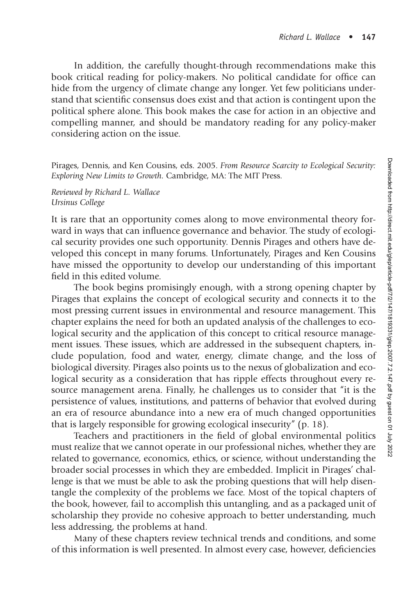In addition, the carefully thought-through recommendations make this book critical reading for policy-makers. No political candidate for office can hide from the urgency of climate change any longer. Yet few politicians understand that scientific consensus does exist and that action is contingent upon the political sphere alone. This book makes the case for action in an objective and compelling manner, and should be mandatory reading for any policy-maker considering action on the issue.

Pirages, Dennis, and Ken Cousins, eds. 2005. *From Resource Scarcity to Ecological Security: Exploring New Limits to Growth.* Cambridge, MA: The MIT Press.

*Reviewed by Richard L. Wallace Ursinus College*

It is rare that an opportunity comes along to move environmental theory forward in ways that can influence governance and behavior. The study of ecological security provides one such opportunity. Dennis Pirages and others have developed this concept in many forums. Unfortunately, Pirages and Ken Cousins have missed the opportunity to develop our understanding of this important field in this edited volume.

The book begins promisingly enough, with a strong opening chapter by Pirages that explains the concept of ecological security and connects it to the most pressing current issues in environmental and resource management. This chapter explains the need for both an updated analysis of the challenges to ecological security and the application of this concept to critical resource management issues. These issues, which are addressed in the subsequent chapters, include population, food and water, energy, climate change, and the loss of biological diversity. Pirages also points us to the nexus of globalization and ecological security as a consideration that has ripple effects throughout every resource management arena. Finally, he challenges us to consider that "it is the persistence of values, institutions, and patterns of behavior that evolved during an era of resource abundance into a new era of much changed opportunities that is largely responsible for growing ecological insecurity" (p. 18).

Teachers and practitioners in the field of global environmental politics must realize that we cannot operate in our professional niches, whether they are related to governance, economics, ethics, or science, without understanding the broader social processes in which they are embedded. Implicit in Pirages' challenge is that we must be able to ask the probing questions that will help disentangle the complexity of the problems we face. Most of the topical chapters of the book, however, fail to accomplish this untangling, and as a packaged unit of scholarship they provide no cohesive approach to better understanding, much less addressing, the problems at hand.

Many of these chapters review technical trends and conditions, and some of this information is well presented. In almost every case, however, deficiencies